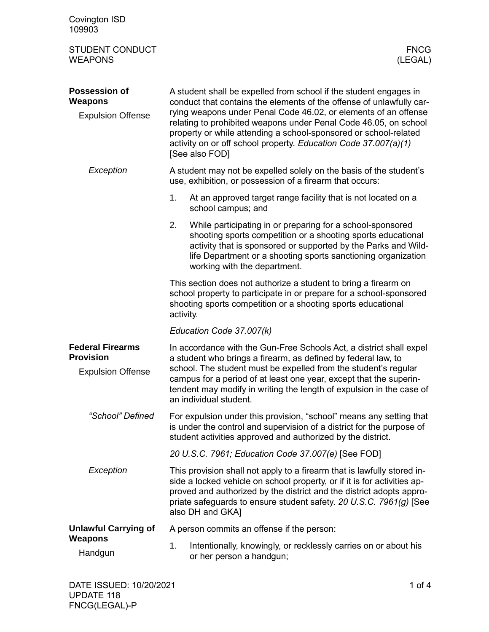| Covington ISD<br>109903                                                 |                                                                                                                                                                                                                                                                                                                                                                                                                                           |  |  |  |
|-------------------------------------------------------------------------|-------------------------------------------------------------------------------------------------------------------------------------------------------------------------------------------------------------------------------------------------------------------------------------------------------------------------------------------------------------------------------------------------------------------------------------------|--|--|--|
| <b>STUDENT CONDUCT</b><br><b>WEAPONS</b>                                | <b>FNCG</b><br>(LEGAL)                                                                                                                                                                                                                                                                                                                                                                                                                    |  |  |  |
| <b>Possession of</b><br><b>Weapons</b><br><b>Expulsion Offense</b>      | A student shall be expelled from school if the student engages in<br>conduct that contains the elements of the offense of unlawfully car-<br>rying weapons under Penal Code 46.02, or elements of an offense<br>relating to prohibited weapons under Penal Code 46.05, on school<br>property or while attending a school-sponsored or school-related<br>activity on or off school property. Education Code 37.007(a)(1)<br>[See also FOD] |  |  |  |
| Exception                                                               | A student may not be expelled solely on the basis of the student's<br>use, exhibition, or possession of a firearm that occurs:                                                                                                                                                                                                                                                                                                            |  |  |  |
|                                                                         | 1.<br>At an approved target range facility that is not located on a<br>school campus; and                                                                                                                                                                                                                                                                                                                                                 |  |  |  |
|                                                                         | 2.<br>While participating in or preparing for a school-sponsored<br>shooting sports competition or a shooting sports educational<br>activity that is sponsored or supported by the Parks and Wild-<br>life Department or a shooting sports sanctioning organization<br>working with the department.                                                                                                                                       |  |  |  |
|                                                                         | This section does not authorize a student to bring a firearm on<br>school property to participate in or prepare for a school-sponsored<br>shooting sports competition or a shooting sports educational<br>activity.                                                                                                                                                                                                                       |  |  |  |
|                                                                         | Education Code 37.007(k)                                                                                                                                                                                                                                                                                                                                                                                                                  |  |  |  |
| <b>Federal Firearms</b><br><b>Provision</b><br><b>Expulsion Offense</b> | In accordance with the Gun-Free Schools Act, a district shall expel<br>a student who brings a firearm, as defined by federal law, to<br>school. The student must be expelled from the student's regular<br>campus for a period of at least one year, except that the superin-<br>tendent may modify in writing the length of expulsion in the case of<br>an individual student.                                                           |  |  |  |
| "School" Defined                                                        | For expulsion under this provision, "school" means any setting that<br>is under the control and supervision of a district for the purpose of<br>student activities approved and authorized by the district.                                                                                                                                                                                                                               |  |  |  |
|                                                                         | 20 U.S.C. 7961; Education Code 37.007(e) [See FOD]                                                                                                                                                                                                                                                                                                                                                                                        |  |  |  |
| Exception                                                               | This provision shall not apply to a firearm that is lawfully stored in-<br>side a locked vehicle on school property, or if it is for activities ap-<br>proved and authorized by the district and the district adopts appro-<br>priate safeguards to ensure student safety. 20 U.S.C. 7961(g) [See<br>also DH and GKA]                                                                                                                     |  |  |  |
| <b>Unlawful Carrying of</b>                                             | A person commits an offense if the person:                                                                                                                                                                                                                                                                                                                                                                                                |  |  |  |
| Weapons<br>Handgun                                                      | 1.<br>Intentionally, knowingly, or recklessly carries on or about his<br>or her person a handgun;                                                                                                                                                                                                                                                                                                                                         |  |  |  |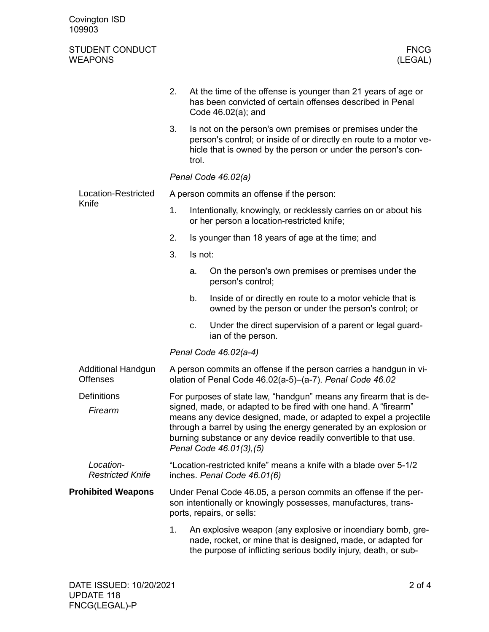| Covington ISD<br>109903                  |                                                                                                                                                                                                                                                                                                                                                                                 |         |                                                                                                                                                                                                 |  |
|------------------------------------------|---------------------------------------------------------------------------------------------------------------------------------------------------------------------------------------------------------------------------------------------------------------------------------------------------------------------------------------------------------------------------------|---------|-------------------------------------------------------------------------------------------------------------------------------------------------------------------------------------------------|--|
| <b>STUDENT CONDUCT</b><br><b>WEAPONS</b> |                                                                                                                                                                                                                                                                                                                                                                                 |         | <b>FNCG</b><br>(LEGAL)                                                                                                                                                                          |  |
|                                          | 2.                                                                                                                                                                                                                                                                                                                                                                              |         | At the time of the offense is younger than 21 years of age or<br>has been convicted of certain offenses described in Penal<br>Code $46.02(a)$ ; and                                             |  |
|                                          | 3.                                                                                                                                                                                                                                                                                                                                                                              | trol.   | Is not on the person's own premises or premises under the<br>person's control; or inside of or directly en route to a motor ve-<br>hicle that is owned by the person or under the person's con- |  |
|                                          | Penal Code 46.02(a)                                                                                                                                                                                                                                                                                                                                                             |         |                                                                                                                                                                                                 |  |
| Location-Restricted<br>Knife             | A person commits an offense if the person:                                                                                                                                                                                                                                                                                                                                      |         |                                                                                                                                                                                                 |  |
|                                          | 1.                                                                                                                                                                                                                                                                                                                                                                              |         | Intentionally, knowingly, or recklessly carries on or about his<br>or her person a location-restricted knife;                                                                                   |  |
|                                          | 2.                                                                                                                                                                                                                                                                                                                                                                              |         | Is younger than 18 years of age at the time; and                                                                                                                                                |  |
|                                          | 3.                                                                                                                                                                                                                                                                                                                                                                              | Is not: |                                                                                                                                                                                                 |  |
|                                          |                                                                                                                                                                                                                                                                                                                                                                                 | a.      | On the person's own premises or premises under the<br>person's control;                                                                                                                         |  |
|                                          |                                                                                                                                                                                                                                                                                                                                                                                 | b.      | Inside of or directly en route to a motor vehicle that is<br>owned by the person or under the person's control; or                                                                              |  |
|                                          |                                                                                                                                                                                                                                                                                                                                                                                 | c.      | Under the direct supervision of a parent or legal guard-<br>ian of the person.                                                                                                                  |  |
|                                          | Penal Code 46.02(a-4)                                                                                                                                                                                                                                                                                                                                                           |         |                                                                                                                                                                                                 |  |
| Additional Handgun<br><b>Offenses</b>    | A person commits an offense if the person carries a handgun in vi-<br>olation of Penal Code 46.02(a-5)-(a-7). Penal Code 46.02                                                                                                                                                                                                                                                  |         |                                                                                                                                                                                                 |  |
| <b>Definitions</b><br>Firearm            | For purposes of state law, "handgun" means any firearm that is de-<br>signed, made, or adapted to be fired with one hand. A "firearm"<br>means any device designed, made, or adapted to expel a projectile<br>through a barrel by using the energy generated by an explosion or<br>burning substance or any device readily convertible to that use.<br>Penal Code 46.01(3), (5) |         |                                                                                                                                                                                                 |  |
| Location-<br><b>Restricted Knife</b>     | "Location-restricted knife" means a knife with a blade over 5-1/2<br>inches. Penal Code 46.01(6)                                                                                                                                                                                                                                                                                |         |                                                                                                                                                                                                 |  |
| <b>Prohibited Weapons</b>                | Under Penal Code 46.05, a person commits an offense if the per-<br>son intentionally or knowingly possesses, manufactures, trans-<br>ports, repairs, or sells:                                                                                                                                                                                                                  |         |                                                                                                                                                                                                 |  |
|                                          | 1.                                                                                                                                                                                                                                                                                                                                                                              |         | An explosive weapon (any explosive or incendiary bomb, gre-<br>nade, rocket, or mine that is designed, made, or adapted for<br>the purpose of inflicting serious bodily injury, death, or sub-  |  |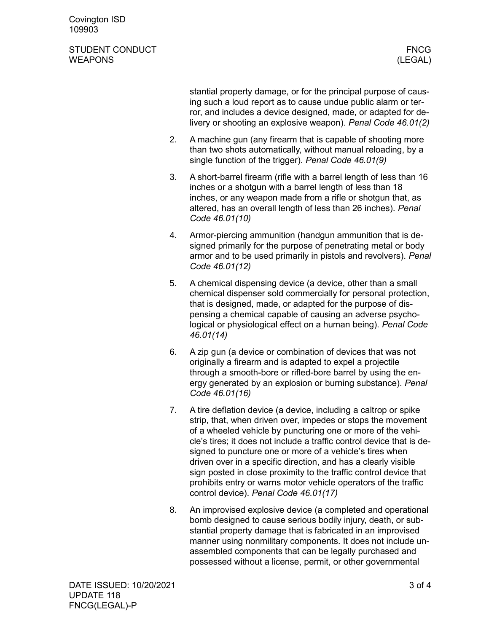Covington ISD 109903

## STUDENT CONDUCT AND RESERVE THE STUDENT CONDUCT THE STUDENT OF STUDENT CONDUCT WEAPONS (LEGAL)

stantial property damage, or for the principal purpose of causing such a loud report as to cause undue public alarm or terror, and includes a device designed, made, or adapted for delivery or shooting an explosive weapon). *Penal Code 46.01(2)*

- 2. A machine gun (any firearm that is capable of shooting more than two shots automatically, without manual reloading, by a single function of the trigger). *Penal Code 46.01(9)*
- 3. A short-barrel firearm (rifle with a barrel length of less than 16 inches or a shotgun with a barrel length of less than 18 inches, or any weapon made from a rifle or shotgun that, as altered, has an overall length of less than 26 inches). *Penal Code 46.01(10)*
- 4. Armor-piercing ammunition (handgun ammunition that is designed primarily for the purpose of penetrating metal or body armor and to be used primarily in pistols and revolvers). *Penal Code 46.01(12)*
- 5. A chemical dispensing device (a device, other than a small chemical dispenser sold commercially for personal protection, that is designed, made, or adapted for the purpose of dispensing a chemical capable of causing an adverse psychological or physiological effect on a human being). *Penal Code 46.01(14)*
- 6. A zip gun (a device or combination of devices that was not originally a firearm and is adapted to expel a projectile through a smooth-bore or rifled-bore barrel by using the energy generated by an explosion or burning substance). *Penal Code 46.01(16)*
- 7. A tire deflation device (a device, including a caltrop or spike strip, that, when driven over, impedes or stops the movement of a wheeled vehicle by puncturing one or more of the vehicle's tires; it does not include a traffic control device that is designed to puncture one or more of a vehicle's tires when driven over in a specific direction, and has a clearly visible sign posted in close proximity to the traffic control device that prohibits entry or warns motor vehicle operators of the traffic control device). *Penal Code 46.01(17)*
- 8. An improvised explosive device (a completed and operational bomb designed to cause serious bodily injury, death, or substantial property damage that is fabricated in an improvised manner using nonmilitary components. It does not include unassembled components that can be legally purchased and possessed without a license, permit, or other governmental